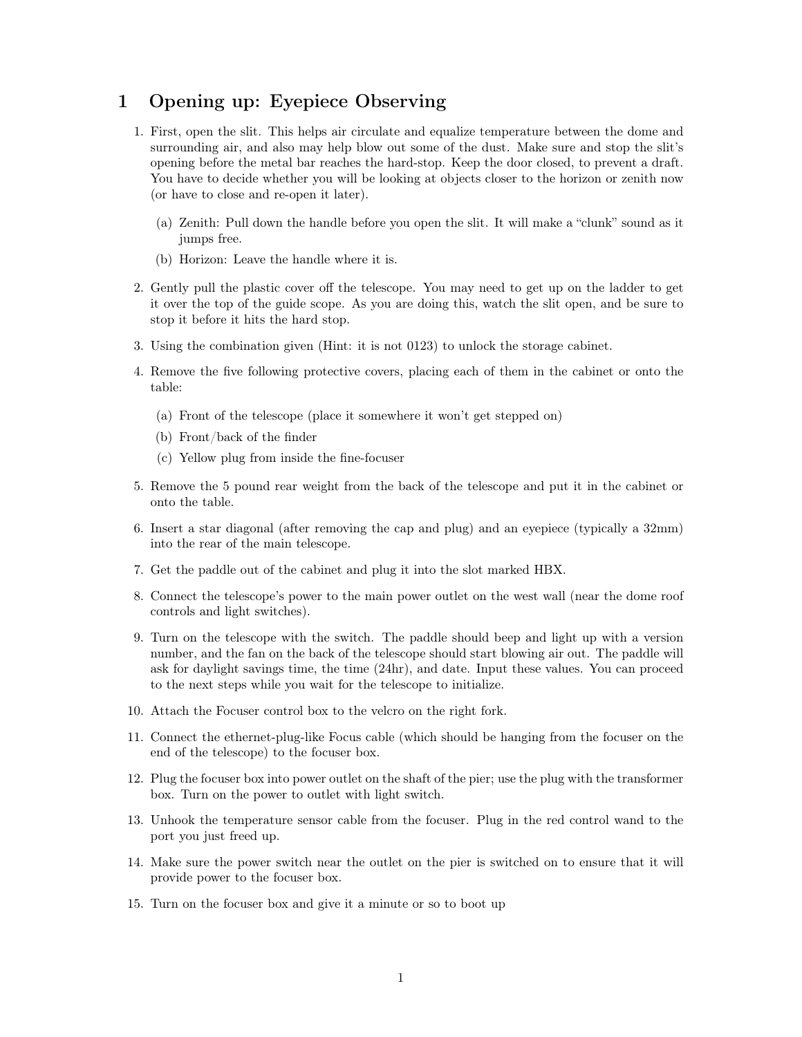## 1 Opening up: Eyepiece Observing

- 1. First, open the slit. This helps air circulate and equalize temperature between the dome and surrounding air, and also may help blow out some of the dust. Make sure and stop the slit's opening before the metal bar reaches the hard-stop. Keep the door closed, to prevent a draft. You have to decide whether you will be looking at objects closer to the horizon or zenith now (or have to close and re-open it later).
	- (a) Zenith: Pull down the handle before you open the slit. It will make a "clunk" sound as it jumps free.
	- (b) Horizon: Leave the handle where it is.
- 2. Gently pull the plastic cover off the telescope. You may need to get up on the ladder to get it over the top of the guide scope. As you are doing this, watch the slit open, and be sure to stop it before it hits the hard stop.
- 3. Using the combination given (Hint: it is not 0123) to unlock the storage cabinet.
- 4. Remove the five following protective covers, placing each of them in the cabinet or onto the table:
	- (a) Front of the telescope (place it somewhere it won't get stepped on)
	- (b) Front/back of the finder
	- (c) Yellow plug from inside the fine-focuser
- 5. Remove the 5 pound rear weight from the back of the telescope and put it in the cabinet or onto the table.
- 6. Insert a star diagonal (after removing the cap and plug) and an eyepiece (typically a 32mm) into the rear of the main telescope.
- 7. Get the paddle out of the cabinet and plug it into the slot marked HBX.
- 8. Connect the telescope's power to the main power outlet on the west wall (near the dome roof controls and light switches).
- 9. Turn on the telescope with the switch. The paddle should beep and light up with a version number, and the fan on the back of the telescope should start blowing air out. The paddle will ask for daylight savings time, the time (24hr), and date. Input these values. You can proceed to the next steps while you wait for the telescope to initialize.
- 10. Attach the Focuser control box to the velcro on the right fork.
- 11. Connect the ethernet-plug-like Focus cable (which should be hanging from the focuser on the end of the telescope) to the focuser box.
- 12. Plug the focuser box into power outlet on the shaft of the pier; use the plug with the transformer box. Turn on the power to outlet with light switch.
- 13. Unhook the temperature sensor cable from the focuser. Plug in the red control wand to the port you just freed up.
- 14. Make sure the power switch near the outlet on the pier is switched on to ensure that it will provide power to the focuser box.
- 15. Turn on the focuser box and give it a minute or so to boot up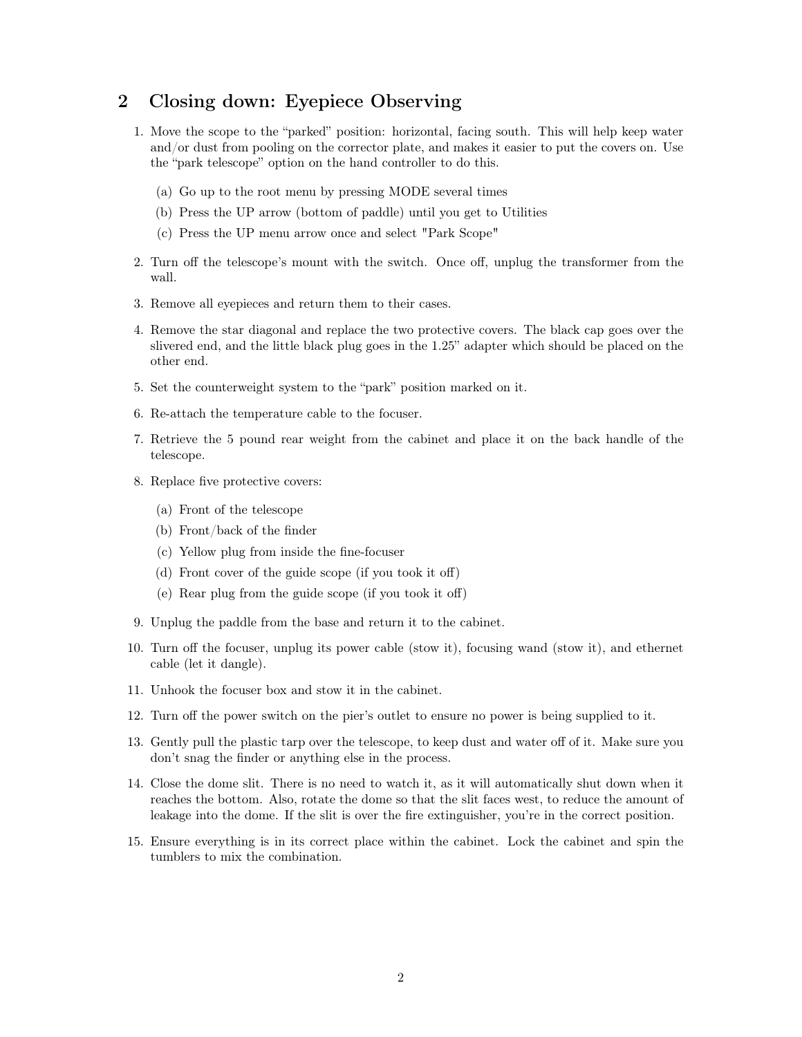## 2 Closing down: Eyepiece Observing

- 1. Move the scope to the "parked" position: horizontal, facing south. This will help keep water and/or dust from pooling on the corrector plate, and makes it easier to put the covers on. Use the "park telescope" option on the hand controller to do this.
	- (a) Go up to the root menu by pressing MODE several times
	- (b) Press the UP arrow (bottom of paddle) until you get to Utilities
	- (c) Press the UP menu arrow once and select "Park Scope"
- 2. Turn off the telescope's mount with the switch. Once off, unplug the transformer from the wall.
- 3. Remove all eyepieces and return them to their cases.
- 4. Remove the star diagonal and replace the two protective covers. The black cap goes over the slivered end, and the little black plug goes in the 1.25" adapter which should be placed on the other end.
- 5. Set the counterweight system to the "park" position marked on it.
- 6. Re-attach the temperature cable to the focuser.
- 7. Retrieve the 5 pound rear weight from the cabinet and place it on the back handle of the telescope.
- 8. Replace five protective covers:
	- (a) Front of the telescope
	- (b) Front/back of the finder
	- (c) Yellow plug from inside the fine-focuser
	- (d) Front cover of the guide scope (if you took it off)
	- (e) Rear plug from the guide scope (if you took it off)
- 9. Unplug the paddle from the base and return it to the cabinet.
- 10. Turn off the focuser, unplug its power cable (stow it), focusing wand (stow it), and ethernet cable (let it dangle).
- 11. Unhook the focuser box and stow it in the cabinet.
- 12. Turn off the power switch on the pier's outlet to ensure no power is being supplied to it.
- 13. Gently pull the plastic tarp over the telescope, to keep dust and water off of it. Make sure you don't snag the finder or anything else in the process.
- 14. Close the dome slit. There is no need to watch it, as it will automatically shut down when it reaches the bottom. Also, rotate the dome so that the slit faces west, to reduce the amount of leakage into the dome. If the slit is over the fire extinguisher, you're in the correct position.
- 15. Ensure everything is in its correct place within the cabinet. Lock the cabinet and spin the tumblers to mix the combination.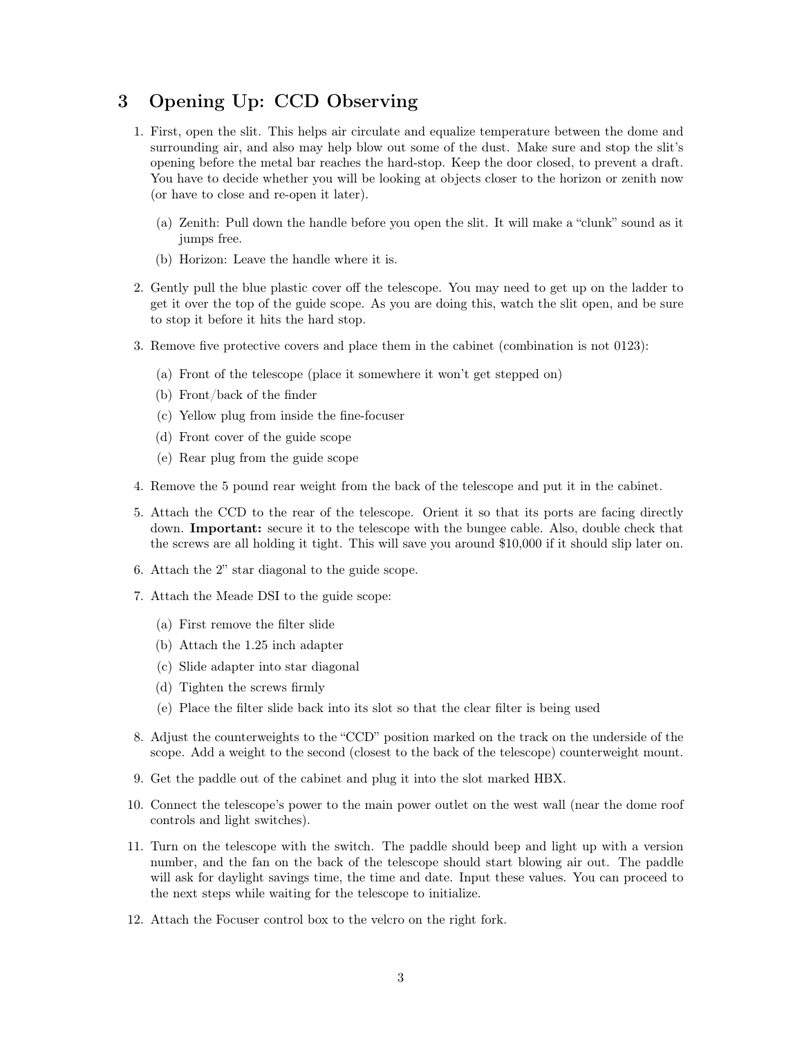## 3 Opening Up: CCD Observing

- 1. First, open the slit. This helps air circulate and equalize temperature between the dome and surrounding air, and also may help blow out some of the dust. Make sure and stop the slit's opening before the metal bar reaches the hard-stop. Keep the door closed, to prevent a draft. You have to decide whether you will be looking at objects closer to the horizon or zenith now (or have to close and re-open it later).
	- (a) Zenith: Pull down the handle before you open the slit. It will make a "clunk" sound as it jumps free.
	- (b) Horizon: Leave the handle where it is.
- 2. Gently pull the blue plastic cover off the telescope. You may need to get up on the ladder to get it over the top of the guide scope. As you are doing this, watch the slit open, and be sure to stop it before it hits the hard stop.
- 3. Remove five protective covers and place them in the cabinet (combination is not 0123):
	- (a) Front of the telescope (place it somewhere it won't get stepped on)
	- (b) Front/back of the finder
	- (c) Yellow plug from inside the fine-focuser
	- (d) Front cover of the guide scope
	- (e) Rear plug from the guide scope
- 4. Remove the 5 pound rear weight from the back of the telescope and put it in the cabinet.
- 5. Attach the CCD to the rear of the telescope. Orient it so that its ports are facing directly down. Important: secure it to the telescope with the bungee cable. Also, double check that the screws are all holding it tight. This will save you around \$10,000 if it should slip later on.
- 6. Attach the 2" star diagonal to the guide scope.
- 7. Attach the Meade DSI to the guide scope:
	- (a) First remove the filter slide
	- (b) Attach the 1.25 inch adapter
	- (c) Slide adapter into star diagonal
	- (d) Tighten the screws firmly
	- (e) Place the filter slide back into its slot so that the clear filter is being used
- 8. Adjust the counterweights to the "CCD" position marked on the track on the underside of the scope. Add a weight to the second (closest to the back of the telescope) counterweight mount.
- 9. Get the paddle out of the cabinet and plug it into the slot marked HBX.
- 10. Connect the telescope's power to the main power outlet on the west wall (near the dome roof controls and light switches).
- 11. Turn on the telescope with the switch. The paddle should beep and light up with a version number, and the fan on the back of the telescope should start blowing air out. The paddle will ask for daylight savings time, the time and date. Input these values. You can proceed to the next steps while waiting for the telescope to initialize.
- 12. Attach the Focuser control box to the velcro on the right fork.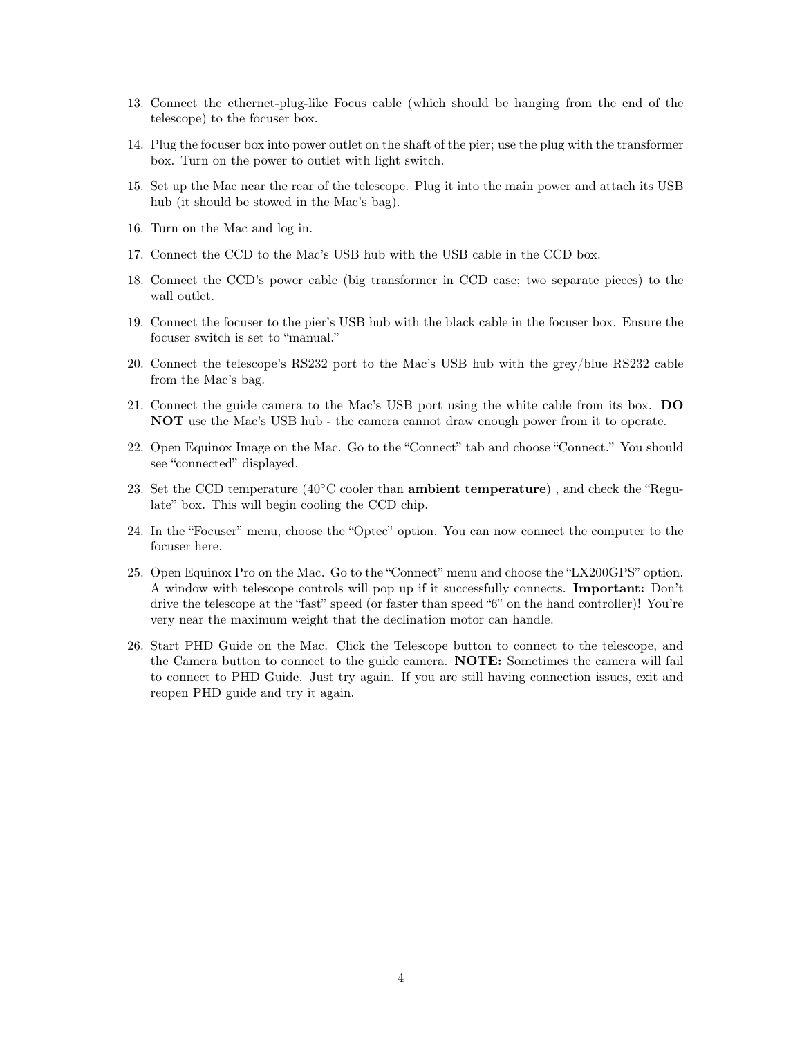- 13. Connect the ethernet-plug-like Focus cable (which should be hanging from the end of the telescope) to the focuser box.
- 14. Plug the focuser box into power outlet on the shaft of the pier; use the plug with the transformer box. Turn on the power to outlet with light switch.
- 15. Set up the Mac near the rear of the telescope. Plug it into the main power and attach its USB hub (it should be stowed in the Mac's bag).
- 16. Turn on the Mac and log in.
- 17. Connect the CCD to the Mac's USB hub with the USB cable in the CCD box.
- 18. Connect the CCD's power cable (big transformer in CCD case; two separate pieces) to the wall outlet.
- 19. Connect the focuser to the pier's USB hub with the black cable in the focuser box. Ensure the focuser switch is set to "manual."
- 20. Connect the telescope's RS232 port to the Mac's USB hub with the grey/blue RS232 cable from the Mac's bag.
- 21. Connect the guide camera to the Mac's USB port using the white cable from its box. DO NOT use the Mac's USB hub - the camera cannot draw enough power from it to operate.
- 22. Open Equinox Image on the Mac. Go to the "Connect" tab and choose "Connect." You should see "connected" displayed.
- 23. Set the CCD temperature ( $40°C$  cooler than **ambient temperature**), and check the "Regulate" box. This will begin cooling the CCD chip.
- 24. In the "Focuser" menu, choose the "Optec" option. You can now connect the computer to the focuser here.
- 25. Open Equinox Pro on the Mac. Go to the "Connect" menu and choose the "LX200GPS" option. A window with telescope controls will pop up if it successfully connects. Important: Don't drive the telescope at the "fast" speed (or faster than speed "6" on the hand controller)! You're very near the maximum weight that the declination motor can handle.
- 26. Start PHD Guide on the Mac. Click the Telescope button to connect to the telescope, and the Camera button to connect to the guide camera. NOTE: Sometimes the camera will fail to connect to PHD Guide. Just try again. If you are still having connection issues, exit and reopen PHD guide and try it again.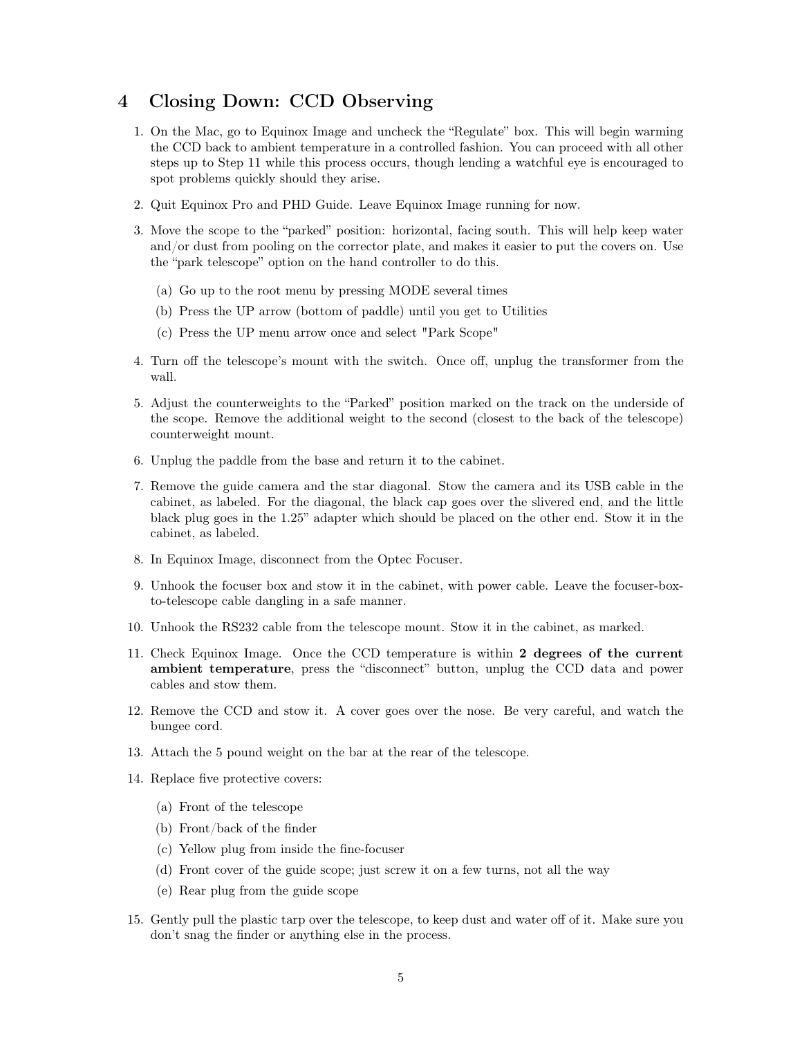## 4 Closing Down: CCD Observing

- 1. On the Mac, go to Equinox Image and uncheck the "Regulate" box. This will begin warming the CCD back to ambient temperature in a controlled fashion. You can proceed with all other steps up to Step 11 while this process occurs, though lending a watchful eye is encouraged to spot problems quickly should they arise.
- 2. Quit Equinox Pro and PHD Guide. Leave Equinox Image running for now.
- 3. Move the scope to the "parked" position: horizontal, facing south. This will help keep water and/or dust from pooling on the corrector plate, and makes it easier to put the covers on. Use the "park telescope" option on the hand controller to do this.
	- (a) Go up to the root menu by pressing MODE several times
	- (b) Press the UP arrow (bottom of paddle) until you get to Utilities
	- (c) Press the UP menu arrow once and select "Park Scope"
- 4. Turn off the telescope's mount with the switch. Once off, unplug the transformer from the wall.
- 5. Adjust the counterweights to the "Parked" position marked on the track on the underside of the scope. Remove the additional weight to the second (closest to the back of the telescope) counterweight mount.
- 6. Unplug the paddle from the base and return it to the cabinet.
- 7. Remove the guide camera and the star diagonal. Stow the camera and its USB cable in the cabinet, as labeled. For the diagonal, the black cap goes over the slivered end, and the little black plug goes in the 1.25" adapter which should be placed on the other end. Stow it in the cabinet, as labeled.
- 8. In Equinox Image, disconnect from the Optec Focuser.
- 9. Unhook the focuser box and stow it in the cabinet, with power cable. Leave the focuser-boxto-telescope cable dangling in a safe manner.
- 10. Unhook the RS232 cable from the telescope mount. Stow it in the cabinet, as marked.
- 11. Check Equinox Image. Once the CCD temperature is within 2 degrees of the current ambient temperature, press the "disconnect" button, unplug the CCD data and power cables and stow them.
- 12. Remove the CCD and stow it. A cover goes over the nose. Be very careful, and watch the bungee cord.
- 13. Attach the 5 pound weight on the bar at the rear of the telescope.
- 14. Replace five protective covers:
	- (a) Front of the telescope
	- (b) Front/back of the finder
	- (c) Yellow plug from inside the fine-focuser
	- (d) Front cover of the guide scope; just screw it on a few turns, not all the way
	- (e) Rear plug from the guide scope
- 15. Gently pull the plastic tarp over the telescope, to keep dust and water off of it. Make sure you don't snag the finder or anything else in the process.